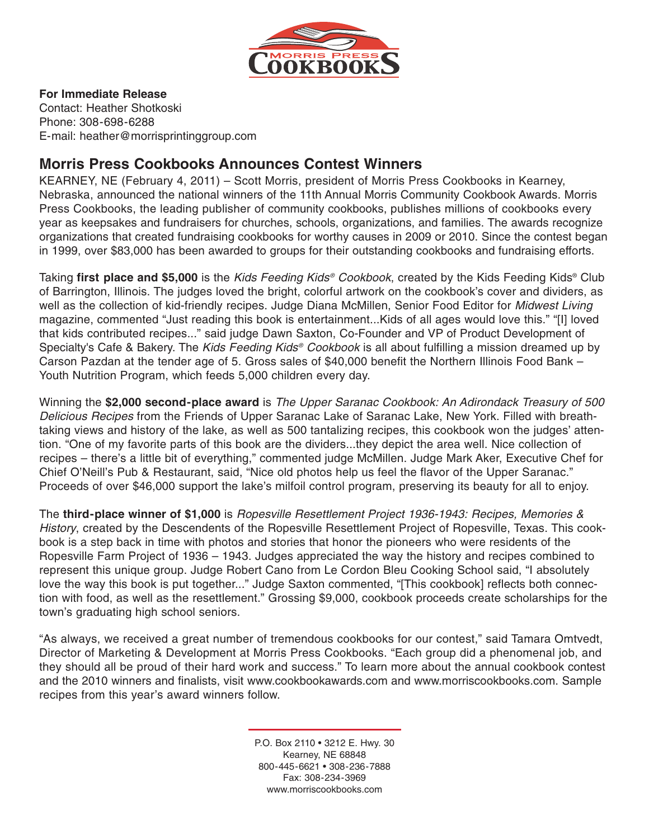

#### **For Immediate Release**

Contact: Heather Shotkoski Phone: 308-698-6288 E-mail: heather@morrisprintinggroup.com

# **Morris Press Cookbooks Announces Contest Winners**

KEARNEY, NE (February 4, 2011) – Scott Morris, president of Morris Press Cookbooks in Kearney, Nebraska, announced the national winners of the 11th Annual Morris Community Cookbook Awards. Morris Press Cookbooks, the leading publisher of community cookbooks, publishes millions of cookbooks every year as keepsakes and fundraisers for churches, schools, organizations, and families. The awards recognize organizations that created fundraising cookbooks for worthy causes in 2009 or 2010. Since the contest began in 1999, over \$83,000 has been awarded to groups for their outstanding cookbooks and fundraising efforts.

Taking **first place and \$5,000** is the Kids Feeding Kids® Cookbook, created by the Kids Feeding Kids® Club of Barrington, Illinois. The judges loved the bright, colorful artwork on the cookbook's cover and dividers, as well as the collection of kid-friendly recipes. Judge Diana McMillen, Senior Food Editor for Midwest Living magazine, commented "Just reading this book is entertainment...Kids of all ages would love this." "[I] loved that kids contributed recipes..." said judge Dawn Saxton, Co-Founder and VP of Product Development of Specialty's Cafe & Bakery. The Kids Feeding Kids® Cookbook is all about fulfilling a mission dreamed up by Carson Pazdan at the tender age of 5. Gross sales of \$40,000 benefit the Northern Illinois Food Bank – Youth Nutrition Program, which feeds 5,000 children every day.

Winning the **\$2,000 second-place award** is The Upper Saranac Cookbook: An Adirondack Treasury of 500 Delicious Recipes from the Friends of Upper Saranac Lake of Saranac Lake, New York. Filled with breathtaking views and history of the lake, as well as 500 tantalizing recipes, this cookbook won the judges' attention. "One of my favorite parts of this book are the dividers...they depict the area well. Nice collection of recipes – there's a little bit of everything," commented judge McMillen. Judge Mark Aker, Executive Chef for Chief O'Neill's Pub & Restaurant, said, "Nice old photos help us feel the flavor of the Upper Saranac." Proceeds of over \$46,000 support the lake's milfoil control program, preserving its beauty for all to enjoy.

The **third-place winner of \$1,000** is Ropesville Resettlement Project 1936-1943: Recipes, Memories & History, created by the Descendents of the Ropesville Resettlement Project of Ropesville, Texas. This cookbook is a step back in time with photos and stories that honor the pioneers who were residents of the Ropesville Farm Project of 1936 – 1943. Judges appreciated the way the history and recipes combined to represent this unique group. Judge Robert Cano from Le Cordon Bleu Cooking School said, "I absolutely love the way this book is put together..." Judge Saxton commented, "[This cookbook] reflects both connection with food, as well as the resettlement." Grossing \$9,000, cookbook proceeds create scholarships for the town's graduating high school seniors.

"As always, we received a great number of tremendous cookbooks for our contest," said Tamara Omtvedt, Director of Marketing & Development at Morris Press Cookbooks. "Each group did a phenomenal job, and they should all be proud of their hard work and success." To learn more about the annual cookbook contest and the 2010 winners and finalists, visit www.cookbookawards.com and www.morriscookbooks.com. Sample recipes from this year's award winners follow.

> P.O. Box 2110 • 3212 E. Hwy. 30 Kearney, NE 68848 800-445-6621 • 308-236-7888 Fax: 308-234-3969 www.morriscookbooks.com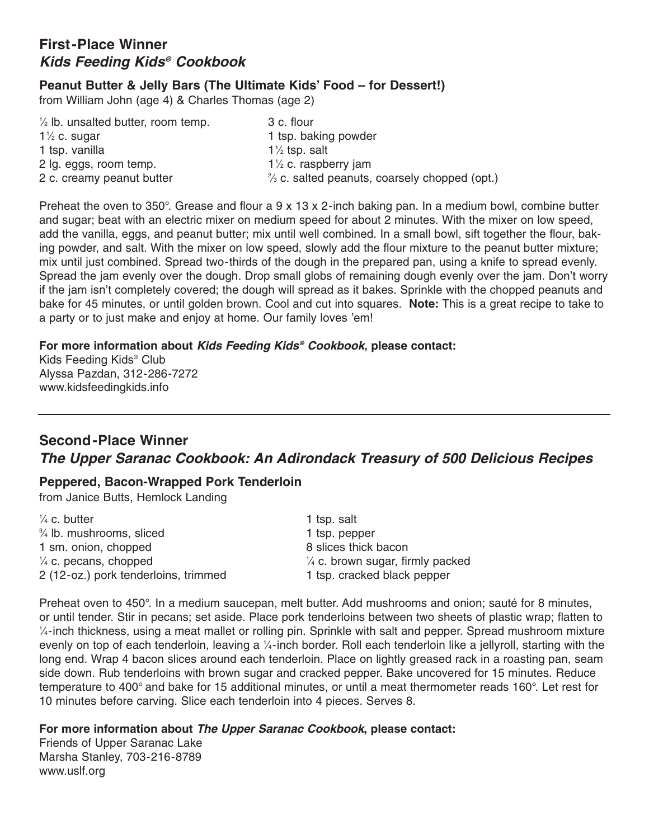# **First-Place Winner Kids Feeding Kids® Cookbook**

## **Peanut Butter & Jelly Bars (The Ultimate Kids' Food – for Dessert!)**

from William John (age 4) & Charles Thomas (age 2)

| $\frac{1}{2}$ lb. unsalted butter, room temp. | 3 c. flour                                               |
|-----------------------------------------------|----------------------------------------------------------|
| $1\frac{1}{2}$ c. sugar                       | 1 tsp. baking powder                                     |
| 1 tsp. vanilla                                | $1\frac{1}{2}$ tsp. salt                                 |
| 2 lg. eggs, room temp.                        | $1\frac{1}{2}$ c. raspberry jam                          |
| 2 c. creamy peanut butter                     | $\frac{2}{3}$ c. salted peanuts, coarsely chopped (opt.) |

Preheat the oven to 350°. Grease and flour a 9 x 13 x 2-inch baking pan. In a medium bowl, combine butter and sugar; beat with an electric mixer on medium speed for about 2 minutes. With the mixer on low speed, add the vanilla, eggs, and peanut butter; mix until well combined. In a small bowl, sift together the flour, baking powder, and salt. With the mixer on low speed, slowly add the flour mixture to the peanut butter mixture; mix until just combined. Spread two-thirds of the dough in the prepared pan, using a knife to spread evenly. Spread the jam evenly over the dough. Drop small globs of remaining dough evenly over the jam. Don't worry if the jam isn't completely covered; the dough will spread as it bakes. Sprinkle with the chopped peanuts and bake for 45 minutes, or until golden brown. Cool and cut into squares. **Note:** This is a great recipe to take to bake for 45 minutes, or until golden brown. Our and cut like square for 45 minutes, or until golden brown. Our family loves 'em!

### **For more information about Kids Feeding Kids® Cookbook, please contact:**

Kids Feeding Kids® Club Alyssa Pazdan, 312-286-7272 www.kidsfeedingkids.info

# **Second-Place Winner The Upper Saranac Cookbook: An Adirondack Treasury of 500 Delicious Recipes**

### **Peppered, Bacon-Wrapped Pork Tenderloin**

from Janice Butts, Hemlock Landing

| $\frac{1}{4}$ c. butter              | 1 tsp. salt                                 |
|--------------------------------------|---------------------------------------------|
| $\frac{3}{4}$ lb. mushrooms, sliced  | 1 tsp. pepper                               |
| 1 sm. onion, chopped                 | 8 slices thick bacon                        |
| $\frac{1}{4}$ c. pecans, chopped     | $\frac{1}{4}$ c. brown sugar, firmly packed |
| 2 (12-oz.) pork tenderloins, trimmed | 1 tsp. cracked black pepper                 |

Preheat oven to 450°. In a medium saucepan, melt butter. Add mushrooms and onion; sauté for 8 minutes, or until tender. Stir in pecans; set aside. Place pork tenderloins between two sheets of plastic wrap; flatten to 1 ⁄4-inch thickness, using a meat mallet or rolling pin. Sprinkle with salt and pepper. Spread mushroom mixture evenly on top of each tenderloin, leaving a ¼-inch border. Roll each tenderloin like a jellyroll, starting with the long end. Wrap 4 bacon slices around each tenderloin. Place on lightly greased rack in a roasting pan, seam side down. Rub tenderloins with brown sugar and cracked pepper. Bake uncovered for 15 minutes. Reduce temperature to 400° and bake for 15 additional minutes, or until a meat thermometer reads 160°. Let rest for 10 minutes before carving. Slice each tenderloin into 4 pieces. Serves 8.

### **For more information about The Upper Saranac Cookbook, please contact:**

Friends of Upper Saranac Lake Marsha Stanley, 703-216-8789 www.uslf.org